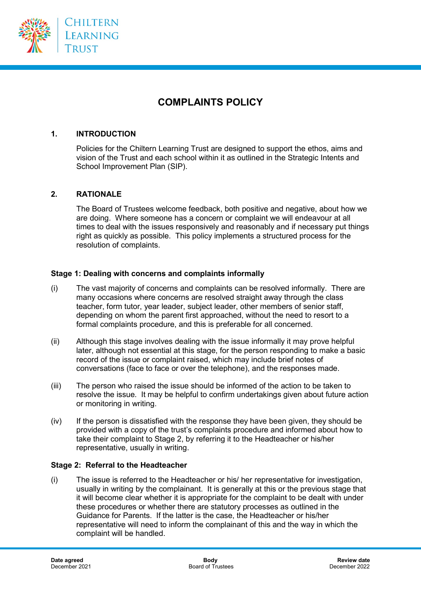

# **COMPLAINTS POLICY**

# **1. INTRODUCTION**

Policies for the Chiltern Learning Trust are designed to support the ethos, aims and vision of the Trust and each school within it as outlined in the Strategic Intents and School Improvement Plan (SIP).

#### **2. RATIONALE**

The Board of Trustees welcome feedback, both positive and negative, about how we are doing. Where someone has a concern or complaint we will endeavour at all times to deal with the issues responsively and reasonably and if necessary put things right as quickly as possible. This policy implements a structured process for the resolution of complaints.

#### **Stage 1: Dealing with concerns and complaints informally**

- (i) The vast majority of concerns and complaints can be resolved informally. There are many occasions where concerns are resolved straight away through the class teacher, form tutor, year leader, subject leader, other members of senior staff, depending on whom the parent first approached, without the need to resort to a formal complaints procedure, and this is preferable for all concerned.
- (ii) Although this stage involves dealing with the issue informally it may prove helpful later, although not essential at this stage, for the person responding to make a basic record of the issue or complaint raised, which may include brief notes of conversations (face to face or over the telephone), and the responses made.
- (iii) The person who raised the issue should be informed of the action to be taken to resolve the issue. It may be helpful to confirm undertakings given about future action or monitoring in writing.
- (iv) If the person is dissatisfied with the response they have been given, they should be provided with a copy of the trust's complaints procedure and informed about how to take their complaint to Stage 2, by referring it to the Headteacher or his/her representative, usually in writing.

#### **Stage 2: Referral to the Headteacher**

(i) The issue is referred to the Headteacher or his/ her representative for investigation, usually in writing by the complainant. It is generally at this or the previous stage that it will become clear whether it is appropriate for the complaint to be dealt with under these procedures or whether there are statutory processes as outlined in the Guidance for Parents. If the latter is the case, the Headteacher or his/her representative will need to inform the complainant of this and the way in which the complaint will be handled.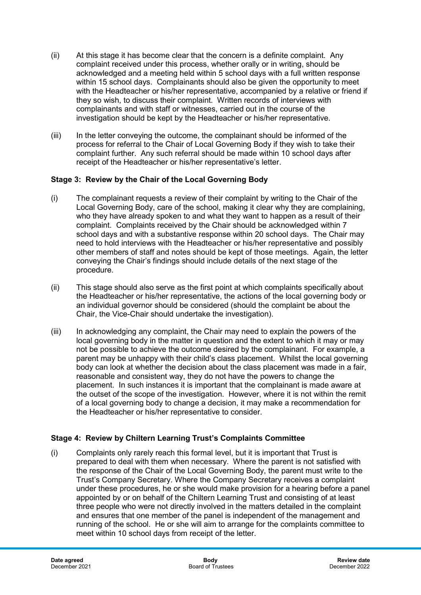- (ii) At this stage it has become clear that the concern is a definite complaint. Any complaint received under this process, whether orally or in writing, should be acknowledged and a meeting held within 5 school days with a full written response within 15 school days. Complainants should also be given the opportunity to meet with the Headteacher or his/her representative, accompanied by a relative or friend if they so wish, to discuss their complaint. Written records of interviews with complainants and with staff or witnesses, carried out in the course of the investigation should be kept by the Headteacher or his/her representative.
- (iii) In the letter conveying the outcome, the complainant should be informed of the process for referral to the Chair of Local Governing Body if they wish to take their complaint further. Any such referral should be made within 10 school days after receipt of the Headteacher or his/her representative's letter.

# **Stage 3: Review by the Chair of the Local Governing Body**

- (i) The complainant requests a review of their complaint by writing to the Chair of the Local Governing Body, care of the school, making it clear why they are complaining, who they have already spoken to and what they want to happen as a result of their complaint. Complaints received by the Chair should be acknowledged within 7 school days and with a substantive response within 20 school days. The Chair may need to hold interviews with the Headteacher or his/her representative and possibly other members of staff and notes should be kept of those meetings. Again, the letter conveying the Chair's findings should include details of the next stage of the procedure.
- (ii) This stage should also serve as the first point at which complaints specifically about the Headteacher or his/her representative, the actions of the local governing body or an individual governor should be considered (should the complaint be about the Chair, the Vice-Chair should undertake the investigation).
- (iii) In acknowledging any complaint, the Chair may need to explain the powers of the local governing body in the matter in question and the extent to which it may or may not be possible to achieve the outcome desired by the complainant. For example, a parent may be unhappy with their child's class placement. Whilst the local governing body can look at whether the decision about the class placement was made in a fair, reasonable and consistent way, they do not have the powers to change the placement. In such instances it is important that the complainant is made aware at the outset of the scope of the investigation. However, where it is not within the remit of a local governing body to change a decision, it may make a recommendation for the Headteacher or his/her representative to consider.

# **Stage 4: Review by Chiltern Learning Trust's Complaints Committee**

(i) Complaints only rarely reach this formal level, but it is important that Trust is prepared to deal with them when necessary. Where the parent is not satisfied with the response of the Chair of the Local Governing Body, the parent must write to the Trust's Company Secretary. Where the Company Secretary receives a complaint under these procedures, he or she would make provision for a hearing before a panel appointed by or on behalf of the Chiltern Learning Trust and consisting of at least three people who were not directly involved in the matters detailed in the complaint and ensures that one member of the panel is independent of the management and running of the school. He or she will aim to arrange for the complaints committee to meet within 10 school days from receipt of the letter.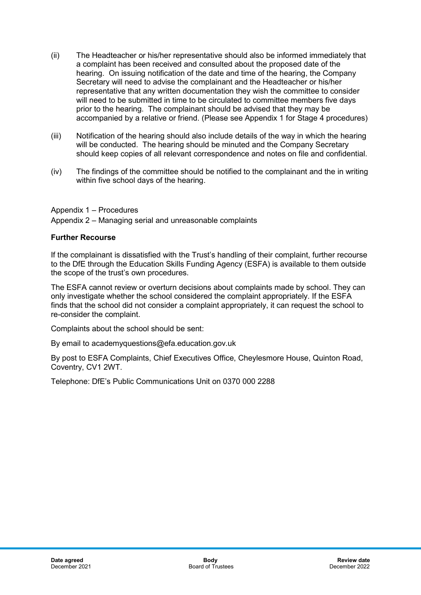- (ii) The Headteacher or his/her representative should also be informed immediately that a complaint has been received and consulted about the proposed date of the hearing. On issuing notification of the date and time of the hearing, the Company Secretary will need to advise the complainant and the Headteacher or his/her representative that any written documentation they wish the committee to consider will need to be submitted in time to be circulated to committee members five days prior to the hearing. The complainant should be advised that they may be accompanied by a relative or friend. (Please see Appendix 1 for Stage 4 procedures)
- (iii) Notification of the hearing should also include details of the way in which the hearing will be conducted. The hearing should be minuted and the Company Secretary should keep copies of all relevant correspondence and notes on file and confidential.
- (iv) The findings of the committee should be notified to the complainant and the in writing within five school days of the hearing.

Appendix 1 – Procedures

Appendix 2 – Managing serial and unreasonable complaints

# **Further Recourse**

If the complainant is dissatisfied with the Trust's handling of their complaint, further recourse to the DfE through the Education Skills Funding Agency (ESFA) is available to them outside the scope of the trust's own procedures.

The ESFA cannot review or overturn decisions about complaints made by school. They can only investigate whether the school considered the complaint appropriately. If the ESFA finds that the school did not consider a complaint appropriately, it can request the school to re-consider the complaint.

Complaints about the school should be sent:

By email to academyquestions@efa.education.gov.uk

By post to ESFA Complaints, Chief Executives Office, Cheylesmore House, Quinton Road, Coventry, CV1 2WT.

Telephone: DfE's Public Communications Unit on 0370 000 2288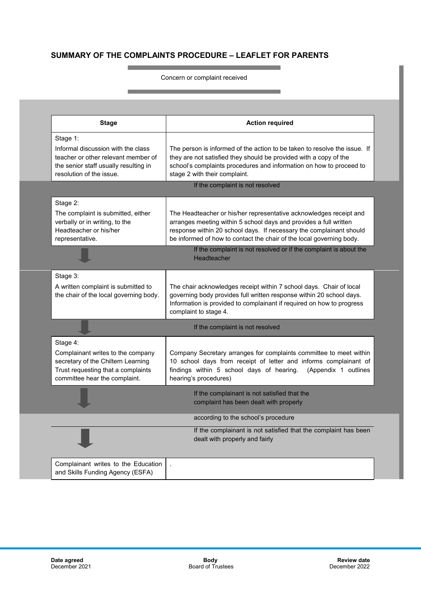# **SUMMARY OF THE COMPLAINTS PROCEDURE – LEAFLET FOR PARENTS**

and the control of the control of the control of

**Contract Contract** 

and the control of the control of the control of the control of the control of the control of the control of the Concern or complaint received

| <b>Stage</b>                                                                                                                                   | <b>Action required</b>                                                                                                                                                                                                                                                                 |
|------------------------------------------------------------------------------------------------------------------------------------------------|----------------------------------------------------------------------------------------------------------------------------------------------------------------------------------------------------------------------------------------------------------------------------------------|
| Stage 1:                                                                                                                                       |                                                                                                                                                                                                                                                                                        |
| Informal discussion with the class<br>teacher or other relevant member of<br>the senior staff usually resulting in<br>resolution of the issue. | The person is informed of the action to be taken to resolve the issue. If<br>they are not satisfied they should be provided with a copy of the<br>school's complaints procedures and information on how to proceed to<br>stage 2 with their complaint.                                 |
|                                                                                                                                                | If the complaint is not resolved                                                                                                                                                                                                                                                       |
| Stage 2:                                                                                                                                       |                                                                                                                                                                                                                                                                                        |
| The complaint is submitted, either<br>verbally or in writing, to the<br>Headteacher or his/her<br>representative.                              | The Headteacher or his/her representative acknowledges receipt and<br>arranges meeting within 5 school days and provides a full written<br>response within 20 school days. If necessary the complainant should<br>be informed of how to contact the chair of the local governing body. |
|                                                                                                                                                | If the complaint is not resolved or if the complaint is about the<br>Headteacher                                                                                                                                                                                                       |
| Stage 3:                                                                                                                                       |                                                                                                                                                                                                                                                                                        |
| A written complaint is submitted to<br>the chair of the local governing body.                                                                  | The chair acknowledges receipt within 7 school days. Chair of local<br>governing body provides full written response within 20 school days.<br>Information is provided to complainant if required on how to progress<br>complaint to stage 4.                                          |
|                                                                                                                                                | If the complaint is not resolved                                                                                                                                                                                                                                                       |
| Stage 4:                                                                                                                                       |                                                                                                                                                                                                                                                                                        |
| Complainant writes to the company<br>secretary of the Chiltern Learning<br>Trust requesting that a complaints<br>committee hear the complaint. | Company Secretary arranges for complaints committee to meet within<br>10 school days from receipt of letter and informs complainant of<br>findings within 5 school days of hearing. (Appendix 1 outlines<br>hearing's procedures)                                                      |
|                                                                                                                                                | If the complainant is not satisfied that the<br>complaint has been dealt with properly                                                                                                                                                                                                 |
|                                                                                                                                                | according to the school's procedure                                                                                                                                                                                                                                                    |
|                                                                                                                                                | If the complainant is not satisfied that the complaint has been<br>dealt with properly and fairly                                                                                                                                                                                      |
| Complainant writes to the Education<br>and Skills Funding Agency (ESFA)                                                                        |                                                                                                                                                                                                                                                                                        |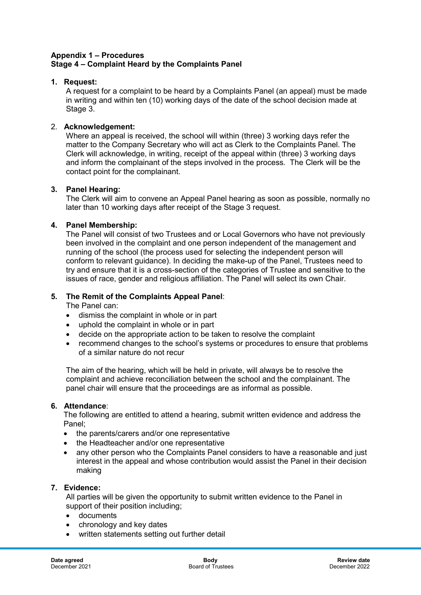## **Appendix 1 – Procedures Stage 4 – Complaint Heard by the Complaints Panel**

## **1. Request:**

A request for a complaint to be heard by a Complaints Panel (an appeal) must be made in writing and within ten (10) working days of the date of the school decision made at Stage 3.

#### 2. **Acknowledgement:**

Where an appeal is received, the school will within (three) 3 working days refer the matter to the Company Secretary who will act as Clerk to the Complaints Panel. The Clerk will acknowledge, in writing, receipt of the appeal within (three) 3 working days and inform the complainant of the steps involved in the process. The Clerk will be the contact point for the complainant.

#### **3. Panel Hearing:**

The Clerk will aim to convene an Appeal Panel hearing as soon as possible, normally no later than 10 working days after receipt of the Stage 3 request.

#### **4. Panel Membership:**

The Panel will consist of two Trustees and or Local Governors who have not previously been involved in the complaint and one person independent of the management and running of the school (the process used for selecting the independent person will conform to relevant guidance). In deciding the make-up of the Panel, Trustees need to try and ensure that it is a cross-section of the categories of Trustee and sensitive to the issues of race, gender and religious affiliation. The Panel will select its own Chair.

## **5. The Remit of the Complaints Appeal Panel**:

The Panel can:

- dismiss the complaint in whole or in part
- uphold the complaint in whole or in part
- decide on the appropriate action to be taken to resolve the complaint
- recommend changes to the school's systems or procedures to ensure that problems of a similar nature do not recur

The aim of the hearing, which will be held in private, will always be to resolve the complaint and achieve reconciliation between the school and the complainant. The panel chair will ensure that the proceedings are as informal as possible.

#### **6. Attendance**:

The following are entitled to attend a hearing, submit written evidence and address the Panel;

- the parents/carers and/or one representative
- the Headteacher and/or one representative
- any other person who the Complaints Panel considers to have a reasonable and just interest in the appeal and whose contribution would assist the Panel in their decision making

#### **7. Evidence:**

All parties will be given the opportunity to submit written evidence to the Panel in support of their position including;

- documents
- chronology and key dates
- written statements setting out further detail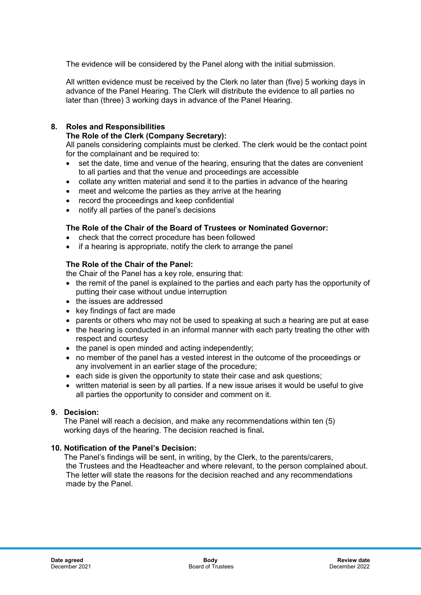The evidence will be considered by the Panel along with the initial submission.

All written evidence must be received by the Clerk no later than (five) 5 working days in advance of the Panel Hearing. The Clerk will distribute the evidence to all parties no later than (three) 3 working days in advance of the Panel Hearing.

# **8. Roles and Responsibilities**

## **The Role of the Clerk (Company Secretary):**

All panels considering complaints must be clerked. The clerk would be the contact point for the complainant and be required to:

- set the date, time and venue of the hearing, ensuring that the dates are convenient to all parties and that the venue and proceedings are accessible
- collate any written material and send it to the parties in advance of the hearing
- meet and welcome the parties as they arrive at the hearing
- record the proceedings and keep confidential
- notify all parties of the panel's decisions

# **The Role of the Chair of the Board of Trustees or Nominated Governor:**

- check that the correct procedure has been followed
- if a hearing is appropriate, notify the clerk to arrange the panel

# **The Role of the Chair of the Panel:**

the Chair of the Panel has a key role, ensuring that:

- the remit of the panel is explained to the parties and each party has the opportunity of putting their case without undue interruption
- the issues are addressed
- key findings of fact are made
- parents or others who may not be used to speaking at such a hearing are put at ease
- the hearing is conducted in an informal manner with each party treating the other with respect and courtesy
- the panel is open minded and acting independently;
- no member of the panel has a vested interest in the outcome of the proceedings or any involvement in an earlier stage of the procedure;
- each side is given the opportunity to state their case and ask questions;
- written material is seen by all parties. If a new issue arises it would be useful to give all parties the opportunity to consider and comment on it.

# **9. Decision:**

 The Panel will reach a decision, and make any recommendations within ten (5) working days of the hearing. The decision reached is final**.**

# **10. Notification of the Panel's Decision:**

 The Panel's findings will be sent, in writing, by the Clerk, to the parents/carers, the Trustees and the Headteacher and where relevant, to the person complained about. The letter will state the reasons for the decision reached and any recommendations made by the Panel.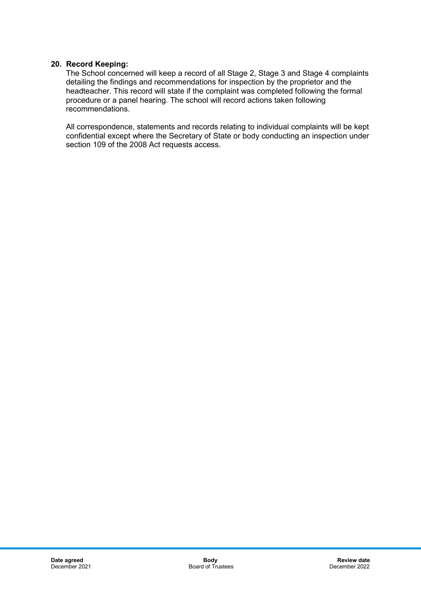## **20. Record Keeping:**

The School concerned will keep a record of all Stage 2, Stage 3 and Stage 4 complaints detailing the findings and recommendations for inspection by the proprietor and the headteacher. This record will state if the complaint was completed following the formal procedure or a panel hearing. The school will record actions taken following recommendations.

All correspondence, statements and records relating to individual complaints will be kept confidential except where the Secretary of State or body conducting an inspection under section 109 of the 2008 Act requests access.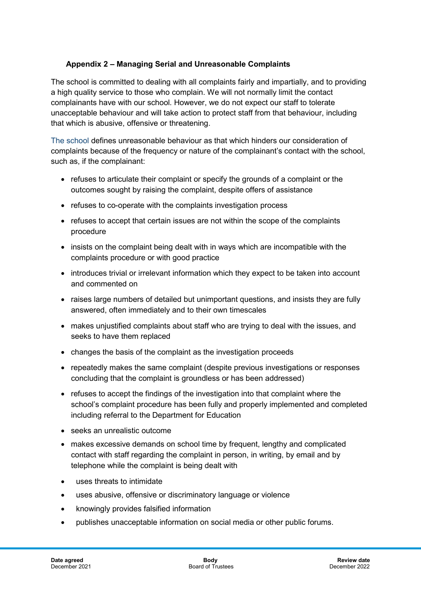# **Appendix 2 – Managing Serial and Unreasonable Complaints**

The school is committed to dealing with all complaints fairly and impartially, and to providing a high quality service to those who complain. We will not normally limit the contact complainants have with our school. However, we do not expect our staff to tolerate unacceptable behaviour and will take action to protect staff from that behaviour, including that which is abusive, offensive or threatening.

The school defines unreasonable behaviour as that which hinders our consideration of complaints because of the frequency or nature of the complainant's contact with the school, such as, if the complainant:

- refuses to articulate their complaint or specify the grounds of a complaint or the outcomes sought by raising the complaint, despite offers of assistance
- refuses to co-operate with the complaints investigation process
- refuses to accept that certain issues are not within the scope of the complaints procedure
- insists on the complaint being dealt with in ways which are incompatible with the complaints procedure or with good practice
- introduces trivial or irrelevant information which they expect to be taken into account and commented on
- raises large numbers of detailed but unimportant questions, and insists they are fully answered, often immediately and to their own timescales
- makes unjustified complaints about staff who are trying to deal with the issues, and seeks to have them replaced
- changes the basis of the complaint as the investigation proceeds
- repeatedly makes the same complaint (despite previous investigations or responses concluding that the complaint is groundless or has been addressed)
- refuses to accept the findings of the investigation into that complaint where the school's complaint procedure has been fully and properly implemented and completed including referral to the Department for Education
- seeks an unrealistic outcome
- makes excessive demands on school time by frequent, lengthy and complicated contact with staff regarding the complaint in person, in writing, by email and by telephone while the complaint is being dealt with
- uses threats to intimidate
- uses abusive, offensive or discriminatory language or violence
- knowingly provides falsified information
- publishes unacceptable information on social media or other public forums.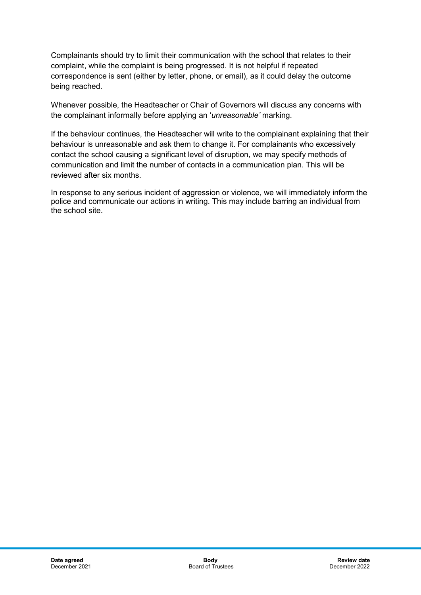Complainants should try to limit their communication with the school that relates to their complaint, while the complaint is being progressed. It is not helpful if repeated correspondence is sent (either by letter, phone, or email), as it could delay the outcome being reached.

Whenever possible, the Headteacher or Chair of Governors will discuss any concerns with the complainant informally before applying an '*unreasonable'* marking.

If the behaviour continues, the Headteacher will write to the complainant explaining that their behaviour is unreasonable and ask them to change it. For complainants who excessively contact the school causing a significant level of disruption, we may specify methods of communication and limit the number of contacts in a communication plan. This will be reviewed after six months.

In response to any serious incident of aggression or violence, we will immediately inform the police and communicate our actions in writing. This may include barring an individual from the school site.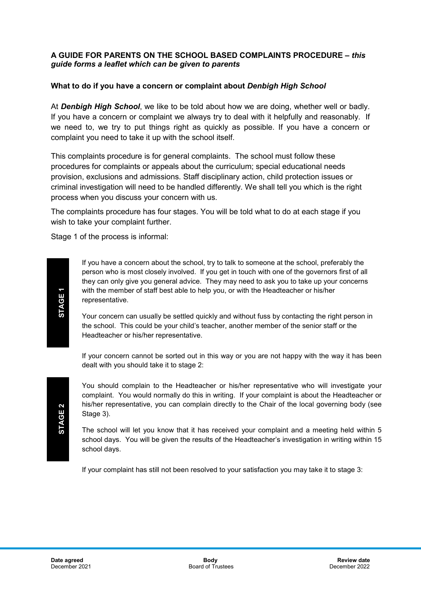## **A GUIDE FOR PARENTS ON THE SCHOOL BASED COMPLAINTS PROCEDURE –** *this guide forms a leaflet which can be given to parents*

## **What to do if you have a concern or complaint about** *Denbigh High School*

At *Denbigh High School*, we like to be told about how we are doing, whether well or badly. If you have a concern or complaint we always try to deal with it helpfully and reasonably. If we need to, we try to put things right as quickly as possible. If you have a concern or complaint you need to take it up with the school itself.

This complaints procedure is for general complaints. The school must follow these procedures for complaints or appeals about the curriculum; special educational needs provision, exclusions and admissions. Staff disciplinary action, child protection issues or criminal investigation will need to be handled differently. We shall tell you which is the right process when you discuss your concern with us.

The complaints procedure has four stages. You will be told what to do at each stage if you wish to take your complaint further.

Stage 1 of the process is informal:

If you have a concern about the school, try to talk to someone at the school, preferably the person who is most closely involved. If you get in touch with one of the governors first of all they can only give you general advice. They may need to ask you to take up your concerns with the member of staff best able to help you, or with the Headteacher or his/her representative.

Your concern can usually be settled quickly and without fuss by contacting the right person in the school. This could be your child's teacher, another member of the senior staff or the Headteacher or his/her representative.

If your concern cannot be sorted out in this way or you are not happy with the way it has been dealt with you should take it to stage 2:

You should complain to the Headteacher or his/her representative who will investigate your complaint. You would normally do this in writing. If your complaint is about the Headteacher or his/her representative, you can complain directly to the Chair of the local governing body (see Stage 3).

The school will let you know that it has received your complaint and a meeting held within 5 school days. You will be given the results of the Headteacher's investigation in writing within 15 school days.

If your complaint has still not been resolved to your satisfaction you may take it to stage 3: